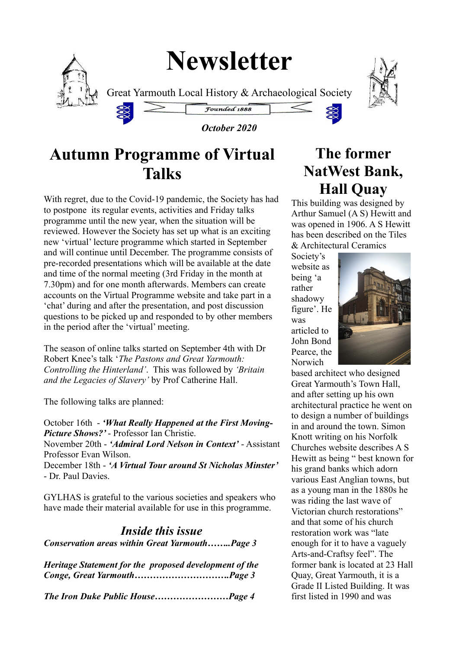# **Newsletter**



Great Yarmouth Local History & Archaeological Society





#### *October 2020*

Founded 1888

# **Autumn Programme of Virtual Talks**

With regret, due to the Covid-19 pandemic, the Society has had to postpone its regular events, activities and Friday talks programme until the new year, when the situation will be reviewed. However the Society has set up what is an exciting new 'virtual' lecture programme which started in September and will continue until December. The programme consists of pre-recorded presentations which will be available at the date and time of the normal meeting (3rd Friday in the month at 7.30pm) and for one month afterwards. Members can create accounts on the Virtual Programme website and take part in a 'chat' during and after the presentation, and post discussion questions to be picked up and responded to by other members in the period after the 'virtual' meeting.

The season of online talks started on September 4th with Dr Robert Knee's talk '*The Pastons and Great Yarmouth: Controlling the Hinterland'*. This was followed by *'Britain and the Legacies of Slavery'* by Prof Catherine Hall.

The following talks are planned:

October 16th - *'What Really Happened at the First Moving-Picture Shows?'* - Professor Ian Christie.

November 20th - *'Admiral Lord Nelson in Context'* - Assistant Professor Evan Wilson.

December 18th - *'A Virtual Tour around St Nicholas Minster'* - Dr. Paul Davies.

GYLHAS is grateful to the various societies and speakers who have made their material available for use in this programme.

#### *Inside this issue Conservation areas within Great Yarmouth……..Page 3*

*Heritage Statement for the proposed development of the Conge, Great Yarmouth………………………….Page 3*

*The Iron Duke Public House……………………Page 4*

# **The former NatWest Bank, Hall Quay**

This building was designed by Arthur Samuel (A S) Hewitt and was opened in 1906. A S Hewitt has been described on the Tiles & Architectural Ceramics

Society's website as being 'a rather shadowy figure'. He was articled to John Bond Pearce, the Norwich



based architect who designed Great Yarmouth's Town Hall, and after setting up his own architectural practice he went on to design a number of buildings in and around the town. Simon Knott writing on his Norfolk Churches website describes A S Hewitt as being " best known for his grand banks which adorn various East Anglian towns, but as a young man in the 1880s he was riding the last wave of Victorian church restorations" and that some of his church restoration work was "late enough for it to have a vaguely Arts-and-Craftsy feel". The former bank is located at 23 Hall Quay, Great Yarmouth, it is a Grade II Listed Building. It was first listed in 1990 and was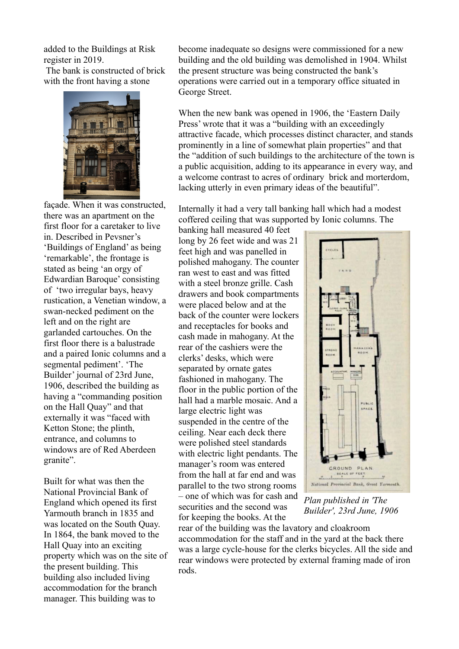added to the Buildings at Risk register in 2019.

 The bank is constructed of brick with the front having a stone



façade. When it was constructed, there was an apartment on the first floor for a caretaker to live in. Described in Pevsner's 'Buildings of England' as being 'remarkable', the frontage is stated as being 'an orgy of Edwardian Baroque' consisting of 'two irregular bays, heavy rustication, a Venetian window, a swan-necked pediment on the left and on the right are garlanded cartouches. On the first floor there is a balustrade and a paired Ionic columns and a segmental pediment'. 'The Builder' journal of 23rd June, 1906, described the building as having a "commanding position on the Hall Quay" and that externally it was "faced with Ketton Stone; the plinth, entrance, and columns to windows are of Red Aberdeen granite".

Built for what was then the National Provincial Bank of England which opened its first Yarmouth branch in 1835 and was located on the South Quay. In 1864, the bank moved to the Hall Quay into an exciting property which was on the site of the present building. This building also included living accommodation for the branch manager. This building was to

become inadequate so designs were commissioned for a new building and the old building was demolished in 1904. Whilst the present structure was being constructed the bank's operations were carried out in a temporary office situated in George Street.

When the new bank was opened in 1906, the 'Eastern Daily Press' wrote that it was a "building with an exceedingly attractive facade, which processes distinct character, and stands prominently in a line of somewhat plain properties" and that the "addition of such buildings to the architecture of the town is a public acquisition, adding to its appearance in every way, and a welcome contrast to acres of ordinary brick and morterdom, lacking utterly in even primary ideas of the beautiful".

Internally it had a very tall banking hall which had a modest coffered ceiling that was supported by Ionic columns. The

banking hall measured 40 feet long by 26 feet wide and was 21 feet high and was panelled in polished mahogany. The counter ran west to east and was fitted with a steel bronze grille. Cash drawers and book compartments were placed below and at the back of the counter were lockers and receptacles for books and cash made in mahogany. At the rear of the cashiers were the clerks' desks, which were separated by ornate gates fashioned in mahogany. The floor in the public portion of the hall had a marble mosaic. And a large electric light was suspended in the centre of the ceiling. Near each deck there were polished steel standards with electric light pendants. The manager's room was entered from the hall at far end and was parallel to the two strong rooms – one of which was for cash and securities and the second was for keeping the books. At the



*Plan published in 'The Builder', 23rd June, 1906*

rear of the building was the lavatory and cloakroom accommodation for the staff and in the yard at the back there was a large cycle-house for the clerks bicycles. All the side and rear windows were protected by external framing made of iron rods.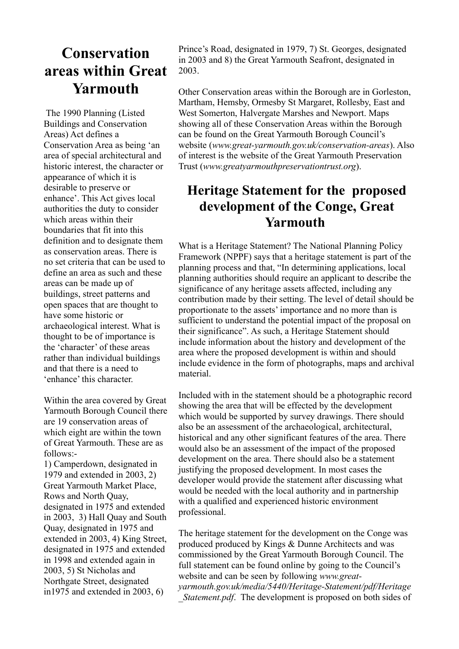### **Conservation areas within Great Yarmouth**

 The 1990 Planning (Listed Buildings and Conservation Areas) Act defines a Conservation Area as being 'an area of special architectural and historic interest, the character or appearance of which it is desirable to preserve or enhance'. This Act gives local authorities the duty to consider which areas within their boundaries that fit into this definition and to designate them as conservation areas. There is no set criteria that can be used to define an area as such and these areas can be made up of buildings, street patterns and open spaces that are thought to have some historic or archaeological interest. What is thought to be of importance is the 'character' of these areas rather than individual buildings and that there is a need to 'enhance' this character.

Within the area covered by Great Yarmouth Borough Council there are 19 conservation areas of which eight are within the town of Great Yarmouth. These are as follows:-

1) Camperdown, designated in 1979 and extended in 2003, 2) Great Yarmouth Market Place, Rows and North Quay, designated in 1975 and extended in 2003, 3) Hall Quay and South Quay, designated in 1975 and extended in 2003, 4) King Street, designated in 1975 and extended in 1998 and extended again in 2003, 5) St Nicholas and Northgate Street, designated in1975 and extended in 2003, 6)

Prince's Road, designated in 1979, 7) St. Georges, designated in 2003 and 8) the Great Yarmouth Seafront, designated in 2003.

Other Conservation areas within the Borough are in Gorleston, Martham, Hemsby, Ormesby St Margaret, Rollesby, East and West Somerton, Halvergate Marshes and Newport. Maps showing all of these Conservation Areas within the Borough can be found on the Great Yarmouth Borough Council's website (*www.great-yarmouth.gov.uk/conservation-areas*). Also of interest is the website of the Great Yarmouth Preservation Trust (*www.greatyarmouthpreservationtrust.org*).

### **Heritage Statement for the proposed development of the Conge, Great Yarmouth**

What is a Heritage Statement? The National Planning Policy Framework (NPPF) says that a heritage statement is part of the planning process and that, "In determining applications, local planning authorities should require an applicant to describe the significance of any heritage assets affected, including any contribution made by their setting. The level of detail should be proportionate to the assets' importance and no more than is sufficient to understand the potential impact of the proposal on their significance". As such, a Heritage Statement should include information about the history and development of the area where the proposed development is within and should include evidence in the form of photographs, maps and archival material.

Included with in the statement should be a photographic record showing the area that will be effected by the development which would be supported by survey drawings. There should also be an assessment of the archaeological, architectural, historical and any other significant features of the area. There would also be an assessment of the impact of the proposed development on the area. There should also be a statement justifying the proposed development. In most cases the developer would provide the statement after discussing what would be needed with the local authority and in partnership with a qualified and experienced historic environment professional.

The heritage statement for the development on the Conge was produced produced by Kings & Dunne Architects and was commissioned by the Great Yarmouth Borough Council. The full statement can be found online by going to the Council's website and can be seen by following *www.greatyarmouth.gov.uk/media/5440/Heritage-Statement/pdf/Heritage Statement.pdf.* The development is proposed on both sides of